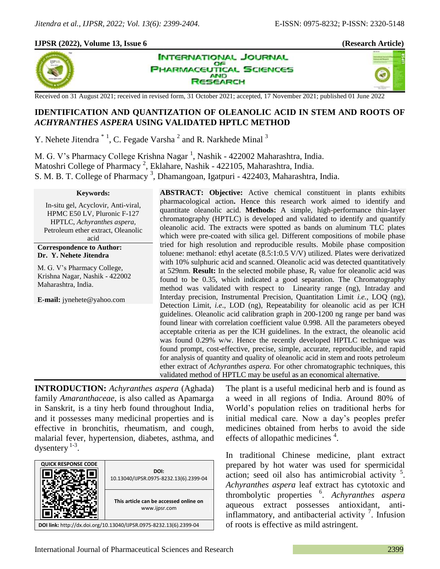## **IJPSR (2022), Volume 13, Issue 6 (Research Article)**



**INTERNATIONAL JOURNAL** OF **IARMACEUTICAL SCIENCES AND ISEARCH** 



Received on 31 August 2021; received in revised form, 31 October 2021; accepted, 17 November 2021; published 01 June 2022

# **IDENTIFICATION AND QUANTIZATION OF OLEANOLIC ACID IN STEM AND ROOTS OF**  *ACHYRANTHES ASPERA* **USING VALIDATED HPTLC METHOD**

Y. Nehete Jitendra<sup>\*1</sup>, C. Fegade Varsha<sup>2</sup> and R. Narkhede Minal<sup>3</sup>

M. G. V's Pharmacy College Krishna Nagar <sup>1</sup>, Nashik - 422002 Maharashtra, India. Matoshri College of Pharmacy<sup>2</sup>, Eklahare, Nashik - 422105, Maharashtra, India. S. M. B. T. College of Pharmacy<sup>3</sup>, Dhamangoan, Igatpuri - 422403, Maharashtra, India.

#### **Keywords:**

In-situ gel, Acyclovir, Anti-viral, HPMC E50 LV, Pluronic F-127 HPTLC, *Achyranthes aspera,* Petroleum ether extract, Oleanolic acid

## **Correspondence to Author: Dr. Y. Nehete Jitendra**

M. G. V's Pharmacy College, Krishna Nagar, Nashik - 422002 Maharashtra, India.

**E-mail:** jynehete@yahoo.com

**ABSTRACT: Objective:** Active chemical constituent in plants exhibits pharmacological action**.** Hence this research work aimed to identify and quantitate oleanolic acid. **Methods:** A simple, high-performance thin-layer chromatography (HPTLC) is developed and validated to identify and quantify oleanolic acid. The extracts were spotted as bands on aluminum TLC plates which were pre-coated with silica gel. Different compositions of mobile phase tried for high resolution and reproducible results. Mobile phase composition toluene: methanol: ethyl acetate (8.5:1:0.5 V/V) utilized. Plates were derivatized with 10% sulphuric acid and scanned. Oleanolic acid was detected quantitatively at 529nm. **Result:** In the selected mobile phase,  $R_f$  value for oleanolic acid was found to be 0.35, which indicated a good separation. The Chromatography method was validated with respect to Linearity range (ng), Intraday and Interday precision, Instrumental Precision, Quantitation Limit *i.e.,* LOQ (ng), Detection Limit, *i.e*., LOD (ng), Repeatability for oleanolic acid as per ICH guidelines. Oleanolic acid calibration graph in 200-1200 ng range per band was found linear with correlation coefficient value 0.998. All the parameters obeyed acceptable criteria as per the ICH guidelines. In the extract, the oleanolic acid was found 0.29% w/w. Hence the recently developed HPTLC technique was found prompt, cost-effective, precise, simple, accurate, reproducible, and rapid for analysis of quantity and quality of oleanolic acid in stem and roots petroleum ether extract of *Achyranthes aspera.* For other chromatographic techniques, this validated method of HPTLC may be useful as an economical alternative.

**INTRODUCTION:** *Achyranthes aspera* (Aghada) family *Amaranthaceae*, is also called as Apamarga in Sanskrit, is a tiny herb found throughout India, and it possesses many medicinal properties and is effective in bronchitis, rheumatism, and cough, malarial fever, hypertension, diabetes, asthma, and dysentery  $1-3$ .

| <b>QUICK RESPONSE CODE</b>                                         | DOI:<br>10.13040/IJPSR.0975-8232.13(6).2399-04          |  |  |
|--------------------------------------------------------------------|---------------------------------------------------------|--|--|
|                                                                    | This article can be accessed online on<br>www.ijpsr.com |  |  |
| DOI link: http://dx.doi.org/10.13040/IJPSR.0975-8232.13(6).2399-04 |                                                         |  |  |

The plant is a useful medicinal herb and is found as a weed in all regions of India. Around 80% of World's population relies on traditional herbs for initial medical care. Now a day's peoples prefer medicines obtained from herbs to avoid the side effects of allopathic medicines  $4$ .

In traditional Chinese medicine, plant extract prepared by hot water was used for spermicidal  $\frac{1}{2}$  action; seed oil also has antimicrobial activity  $\frac{5}{2}$ . *Achyranthes aspera* leaf extract has cytotoxic and thrombolytic properties <sup>6</sup> . *Achyranthes aspera*  aqueous extract possesses antioxidant, antiinflammatory, and antibacterial activity  $\frac{7}{1}$ . Infusion of roots is effective as mild astringent.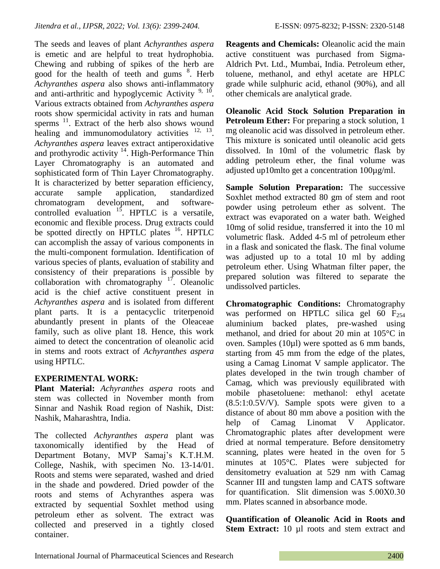The seeds and leaves of plant *Achyranthes aspera*  is emetic and are helpful to treat hydrophobia. Chewing and rubbing of spikes of the herb are good for the health of teeth and gums <sup>8</sup>. Herb *Achyranthes aspera* also shows anti-inflammatory and anti-arthritic and hypoglycemic Activity  $9, 10$ . Various extracts obtained from *Achyranthes aspera*  roots show spermicidal activity in rats and human sperms<sup>11</sup>. Extract of the herb also shows wound healing and immunomodulatory activities <sup>12, 13</sup>. *Achyranthes aspera* leaves extract antiperoxidative and prothyrodic activity <sup>14</sup>. High-Performance Thin Layer Chromatography is an automated and sophisticated form of Thin Layer Chromatography. It is characterized by better separation efficiency, accurate sample application, standardized chromatogram development, and softwarecontrolled evaluation  $15$ . HPTLC is a versatile, economic and flexible process. Drug extracts could be spotted directly on HPTLC plates <sup>16</sup>. HPTLC can accomplish the assay of various components in the multi-component formulation. Identification of various species of plants, evaluation of stability and consistency of their preparations is possible by collaboration with chromatography  $17$ . Oleanolic acid is the chief active constituent present in *Achyranthes aspera* and is isolated from different plant parts. It is a pentacyclic triterpenoid abundantly present in plants of the Oleaceae family, such as olive plant 18. Hence, this work aimed to detect the concentration of oleanolic acid in stems and roots extract of *Achyranthes aspera* using HPTLC.

# **EXPERIMENTAL WORK:**

**Plant Material:** *Achyranthes aspera* roots and stem was collected in November month from Sinnar and Nashik Road region of Nashik, Dist: Nashik, Maharashtra, India.

The collected *Achyranthes aspera* plant was taxonomically identified by the Head of Department Botany, MVP Samaj's K.T.H.M. College, Nashik, with specimen No. 13-14/01. Roots and stems were separated, washed and dried in the shade and powdered. Dried powder of the roots and stems of Achyranthes aspera was extracted by sequential Soxhlet method using petroleum ether as solvent. The extract was collected and preserved in a tightly closed container.

**Reagents and Chemicals:** Oleanolic acid the main active constituent was purchased from Sigma-Aldrich Pvt. Ltd., Mumbai, India. Petroleum ether, toluene, methanol, and ethyl acetate are HPLC grade while sulphuric acid, ethanol (90%), and all other chemicals are analytical grade.

**Oleanolic Acid Stock Solution Preparation in Petroleum Ether:** For preparing a stock solution, 1 mg oleanolic acid was dissolved in petroleum ether. This mixture is sonicated until oleanolic acid gets dissolved. In 10ml of the volumetric flask by adding petroleum ether, the final volume was adjusted up10mlto get a concentration 100µg/ml.

**Sample Solution Preparation:** The successive Soxhlet method extracted 80 gm of stem and root powder using petroleum ether as solvent. The extract was evaporated on a water bath. Weighed 10mg of solid residue, transferred it into the 10 ml volumetric flask. Added 4-5 ml of petroleum ether in a flask and sonicated the flask. The final volume was adjusted up to a total 10 ml by adding petroleum ether. Using Whatman filter paper, the prepared solution was filtered to separate the undissolved particles.

**Chromatographic Conditions:** Chromatography was performed on HPTLC silica gel 60  $F_{254}$ aluminium backed plates, pre-washed using methanol, and dried for about 20 min at 105°C in oven. Samples (10µl) were spotted as 6 mm bands, starting from 45 mm from the edge of the plates, using a Camag Linomat V sample applicator. The plates developed in the twin trough chamber of Camag, which was previously equilibrated with mobile phasetoluene: methanol: ethyl acetate  $(8.5:1:0.5V/V)$ . Sample spots were given to a distance of about 80 mm above a position with the help of Camag Linomat V Applicator. Chromatographic plates after development were dried at normal temperature. Before densitometry scanning, plates were heated in the oven for 5 minutes at 105°C. Plates were subjected for densitometry evaluation at 529 nm with Camag Scanner III and tungsten lamp and CATS software for quantification. Slit dimension was 5.00Χ0.30 mm. Plates scanned in absorbance mode.

**Quantification of Oleanolic Acid in Roots and**  Stem Extract: 10 µl roots and stem extract and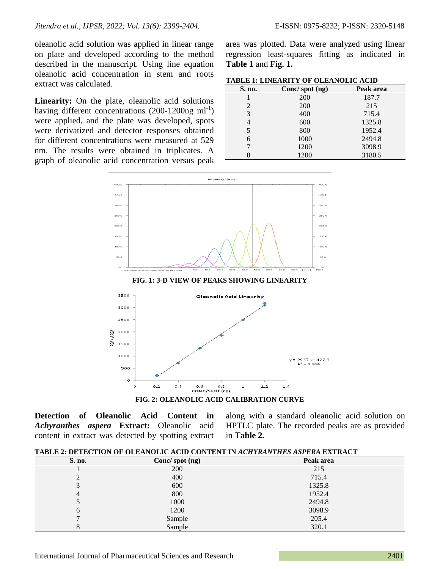oleanolic acid solution was applied in linear range on plate and developed according to the method described in the manuscript. Using line equation oleanolic acid concentration in stem and roots extract was calculated.

**Linearity:** On the plate, oleanolic acid solutions having different concentrations  $(200-1200$ ng ml<sup>-1</sup>) were applied, and the plate was developed, spots were derivatized and detector responses obtained for different concentrations were measured at 529 nm. The results were obtained in triplicates. A graph of oleanolic acid concentration versus peak

area was plotted. Data were analyzed using linear regression least-squares fitting as indicated in

| TABLE 1: LINEARITY OF OLEANOLIC ACID |  |
|--------------------------------------|--|
|--------------------------------------|--|

**Table 1** and **Fig. 1.**

| S. no. | Conc/ spot (ng) | Peak area |
|--------|-----------------|-----------|
|        | 200             | 187.7     |
| 2      | 200             | 215       |
| 3      | 400             | 715.4     |
| 4      | 600             | 1325.8    |
| 5      | 800             | 1952.4    |
| 6      | 1000            | 2494.8    |
| 7      | 1200            | 3098.9    |
| 8      | 1200            | 3180.5    |



**Detection of Oleanolic Acid Content in**  *Achyranthes aspera* **Extract:** Oleanolic acid content in extract was detected by spotting extract

along with a standard oleanolic acid solution on HPTLC plate. The recorded peaks are as provided in **Table 2.**

**TABLE 2: DETECTION OF OLEANOLIC ACID CONTENT IN** *ACHYRANTHES ASPERA* **EXTRACT**

| S. no.        | Conc/ spot (ng) | Peak area |
|---------------|-----------------|-----------|
|               | 200             | 215       |
| C<br>∠        | 400             | 715.4     |
| 3             | 600             | 1325.8    |
| 4             | 800             | 1952.4    |
| $\mathcal{L}$ | 1000            | 2494.8    |
| 6             | 1200            | 3098.9    |
| ⇁             | Sample          | 205.4     |
| 8             | Sample          | 320.1     |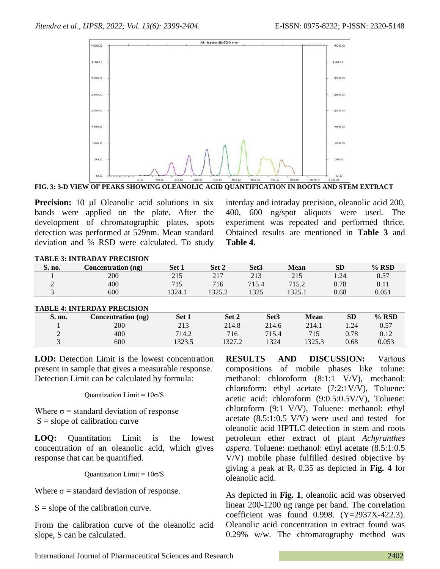

**FIG. 3: 3-D VIEW OF PEAKS SHOWING OLEANOLIC ACID QUANTIFICATION IN ROOTS AND STEM EXTRACT**

**Precision:** 10 µl Oleanolic acid solutions in six bands were applied on the plate. After the development of chromatographic plates, spots detection was performed at 529nm. Mean standard deviation and % RSD were calculated. To study interday and intraday precision, oleanolic acid 200, 400, 600 ng/spot aliquots were used. The experiment was repeated and performed thrice. Obtained results are mentioned in **Table 3** and **Table 4.**

| <b>TABLE 3: INTRADAY PRECISION</b> |  |
|------------------------------------|--|
|                                    |  |

| S. no. | Concentration (ng) | Set 1     | Set 2           | Set <sub>3</sub> | <b>Mean</b>            | <b>SD</b> | $%$ RSD |
|--------|--------------------|-----------|-----------------|------------------|------------------------|-----------|---------|
|        | 200                | 215       | 217             | 213              | 215                    | 1.24      | 0.57    |
|        | 400                | 715<br>ТD | 716             | 715.4            | 715.2                  | 0.78      | 0.11    |
|        | 600                | 1324.1    | 13252<br>1949.4 | 1325             | 225<br>1 <i>343</i> .1 | 0.68      | 0.051   |

| <b>TABLE 4: INTERDAY PRECISION</b> |  |
|------------------------------------|--|
|                                    |  |

| S. no. | Concentration (ng) | Set 1  | Set 2  | Set <sub>3</sub> | <b>Mean</b> | <b>SD</b> | $%$ RSD |
|--------|--------------------|--------|--------|------------------|-------------|-----------|---------|
|        | 200                | 213    | 214.8  | 214.6            | 214.1       | . 24      | 0.57    |
| ∸      | 400                | 714.2  | 716    | 715.4            | 715         | 0.78      | 0.12    |
|        | 600                | 1323.5 | 1327.2 | 1324             | 1325.3      | 0.68      | 0.053   |

LOD: Detection Limit is the lowest concentration present in sample that gives a measurable response. Detection Limit can be calculated by formula:

Quantization Limit = 10σ/S

Where  $\sigma$  = standard deviation of response  $S = slope of calibration curve$ 

**LOQ:** Quantitation Limit is the lowest concentration of an oleanolic acid, which gives response that can be quantified.

Quantization Limit =  $10\sigma/S$ 

Where  $\sigma$  = standard deviation of response.

 $S = slope of the calibration curve.$ 

From the calibration curve of the oleanolic acid slope, S can be calculated.

**RESULTS AND DISCUSSION:** Various compositions of mobile phases like tolune: methanol: chloroform  $(8:1:1 \text{ V/V})$ , methanol: chloroform: ethyl acetate (7:2:1V/V), Toluene: acetic acid: chloroform (9:0.5:0.5V/V), Toluene: chloroform (9:1 V/V), Toluene: methanol: ethyl acetate (8.5:1:0.5 V/V) were used and tested for oleanolic acid HPTLC detection in stem and roots petroleum ether extract of plant *Achyranthes aspera.* Toluene: methanol: ethyl acetate (8.5:1:0.5 V/V) mobile phase fulfilled desired objective by giving a peak at  $R_f$  0.35 as depicted in Fig. 4 for oleanolic acid.

As depicted in **Fig. 1**, oleanolic acid was observed linear 200-1200 ng range per band. The correlation coefficient was found 0.998. (Y=2937X-422.3). Oleanolic acid concentration in extract found was 0.29% w/w. The chromatography method was

International Journal of Pharmaceutical Sciences and Research 2402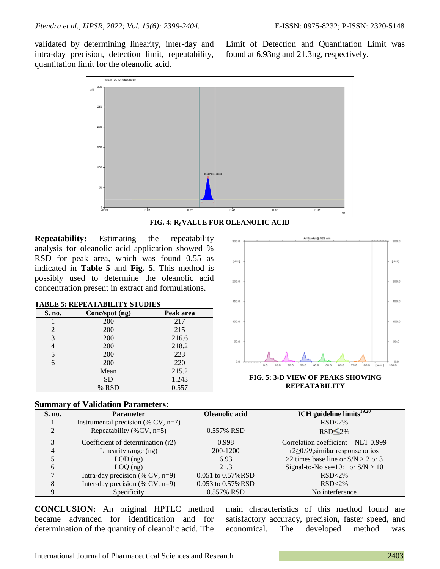validated by determining linearity, inter-day and intra-day precision, detection limit, repeatability, quantitation limit for the oleanolic acid.

Limit of Detection and Quantitation Limit was found at 6.93ng and 21.3ng, respectively.



**FIG. 4: Rf VALUE FOR OLEANOLIC ACID**

**Repeatability:** Estimating the repeatability analysis for oleanolic acid application showed % RSD for peak area, which was found 0.55 as indicated in **Table 5** and **Fig. 5.** This method is possibly used to determine the oleanolic acid concentration present in extract and formulations.

#### **TABLE 5: REPEATABILITY STUDIES**

| S. no. | Conc/spot (ng) | Peak area |
|--------|----------------|-----------|
|        | 200            | 217       |
| 2      | 200            | 215       |
| 3      | 200            | 216.6     |
| 4      | 200            | 218.2     |
| 5      | 200            | 223       |
| 6      | 200            | 220       |
|        | Mean           | 215.2     |
|        | <b>SD</b>      | 1.243     |
|        | % RSD          | 0.557     |



**FIG. 5: 3-D VIEW OF PEAKS SHOWING REPEATABILITY**

## **Summary of Validation Parameters:**

| S. no. | <b>Parameter</b>                      | Oleanolic acid          | ICH guideline limits $^{19,20}$         |
|--------|---------------------------------------|-------------------------|-----------------------------------------|
|        | Instrumental precision (% CV, $n=7$ ) |                         | $RSD < 2\%$                             |
| ↑      | Repeatability (%CV, $n=5$ )           | 0.557% RSD              | $RSD \leq 2\%$                          |
| 3      | Coefficient of determination (r2)     | 0.998                   | Correlation coefficient – NLT 0.999     |
| 4      | Linearity range (ng)                  | 200-1200                | $r2 \ge 0.99$ , similar response ratios |
|        | $LOD$ (ng)                            | 6.93                    | >2 times base line or $S/N > 2$ or 3    |
| 6      | $LOQ$ (ng)                            | 21.3                    | Signal-to-Noise= $10:1$ or $S/N > 10$   |
|        | Intra-day precision $(\%$ CV, n=9)    | 0.051 to 0.57%RSD       | $RSD < 2\%$                             |
| 8      | Inter-day precision $(\%$ CV, n=9)    | $0.053$ to $0.57\%$ RSD | $RSD < 2\%$                             |
|        | Specificity                           | 0.557% RSD              | No interference                         |

**CONCLUSION:** An original HPTLC method became advanced for identification and for determination of the quantity of oleanolic acid. The

main characteristics of this method found are satisfactory accuracy, precision, faster speed, and economical. The developed method was